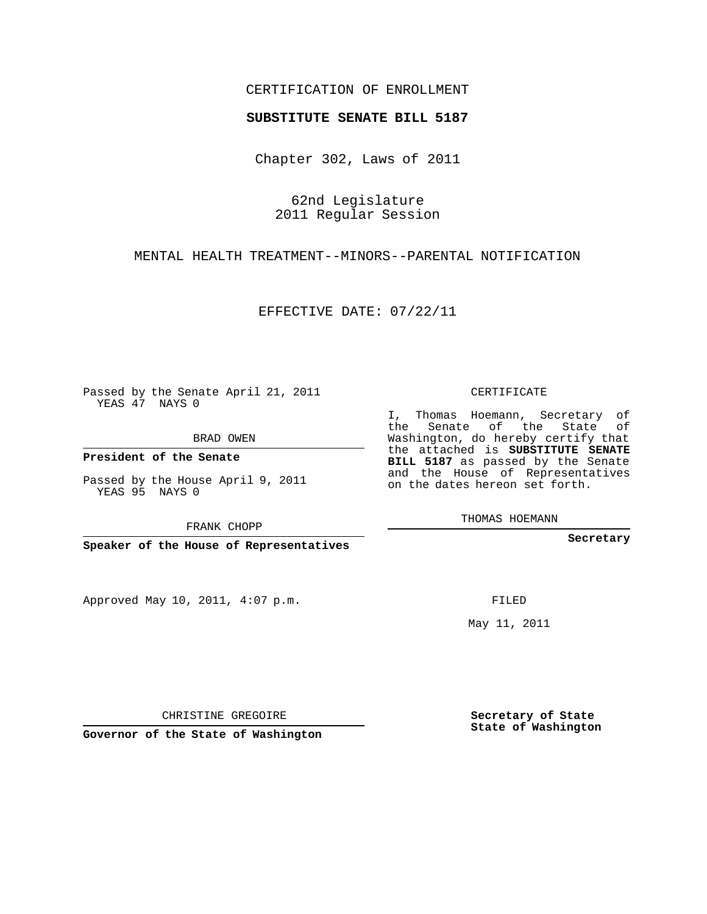## CERTIFICATION OF ENROLLMENT

## **SUBSTITUTE SENATE BILL 5187**

Chapter 302, Laws of 2011

62nd Legislature 2011 Regular Session

MENTAL HEALTH TREATMENT--MINORS--PARENTAL NOTIFICATION

EFFECTIVE DATE: 07/22/11

Passed by the Senate April 21, 2011 YEAS 47 NAYS 0

BRAD OWEN

**President of the Senate**

Passed by the House April 9, 2011 YEAS 95 NAYS 0

FRANK CHOPP

**Speaker of the House of Representatives**

Approved May 10, 2011, 4:07 p.m.

CERTIFICATE

I, Thomas Hoemann, Secretary of the Senate of the State of Washington, do hereby certify that the attached is **SUBSTITUTE SENATE BILL 5187** as passed by the Senate and the House of Representatives on the dates hereon set forth.

THOMAS HOEMANN

**Secretary**

FILED

May 11, 2011

**Secretary of State State of Washington**

CHRISTINE GREGOIRE

**Governor of the State of Washington**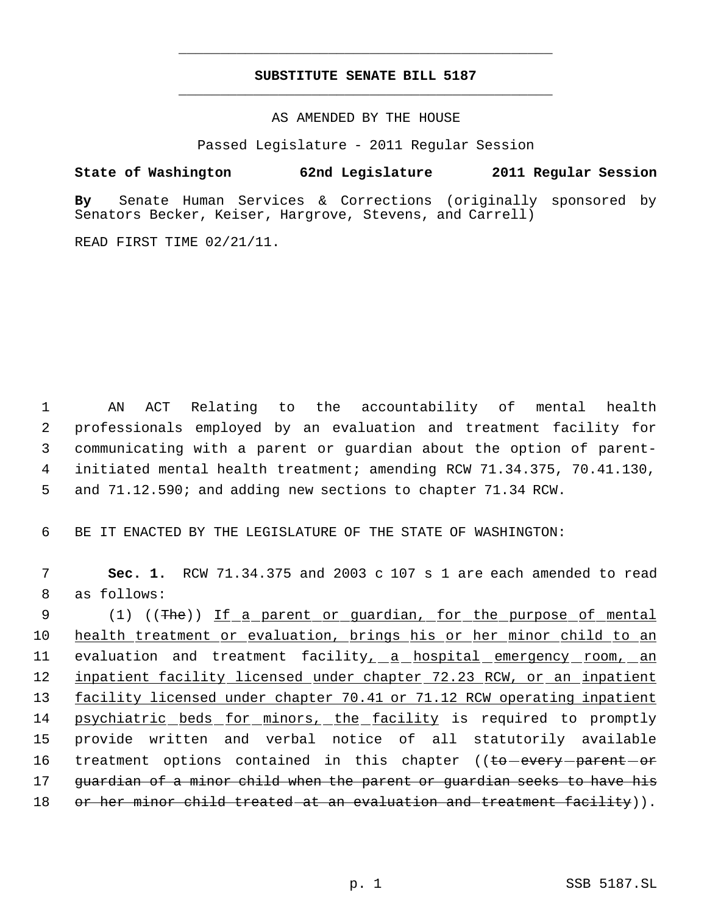## **SUBSTITUTE SENATE BILL 5187** \_\_\_\_\_\_\_\_\_\_\_\_\_\_\_\_\_\_\_\_\_\_\_\_\_\_\_\_\_\_\_\_\_\_\_\_\_\_\_\_\_\_\_\_\_

\_\_\_\_\_\_\_\_\_\_\_\_\_\_\_\_\_\_\_\_\_\_\_\_\_\_\_\_\_\_\_\_\_\_\_\_\_\_\_\_\_\_\_\_\_

AS AMENDED BY THE HOUSE

Passed Legislature - 2011 Regular Session

## **State of Washington 62nd Legislature 2011 Regular Session**

**By** Senate Human Services & Corrections (originally sponsored by Senators Becker, Keiser, Hargrove, Stevens, and Carrell)

READ FIRST TIME 02/21/11.

 AN ACT Relating to the accountability of mental health professionals employed by an evaluation and treatment facility for communicating with a parent or guardian about the option of parent- initiated mental health treatment; amending RCW 71.34.375, 70.41.130, and 71.12.590; and adding new sections to chapter 71.34 RCW.

6 BE IT ENACTED BY THE LEGISLATURE OF THE STATE OF WASHINGTON:

 7 **Sec. 1.** RCW 71.34.375 and 2003 c 107 s 1 are each amended to read 8 as follows: 9 (1) ((The)) If a parent or guardian, for the purpose of mental 10 health treatment or evaluation, brings his or her minor child to an 11 evaluation and treatment facility<sub>1</sub> a hospital emergency room, an 12 inpatient facility licensed under chapter 72.23 RCW, or an inpatient 13 facility licensed under chapter 70.41 or 71.12 RCW operating inpatient 14 psychiatric beds for minors, the facility is required to promptly 15 provide written and verbal notice of all statutorily available 16 treatment options contained in this chapter ((to-every-parent-or 17 guardian of a minor child when the parent or guardian seeks to have his 18 or her minor child treated at an evaluation and treatment facility)).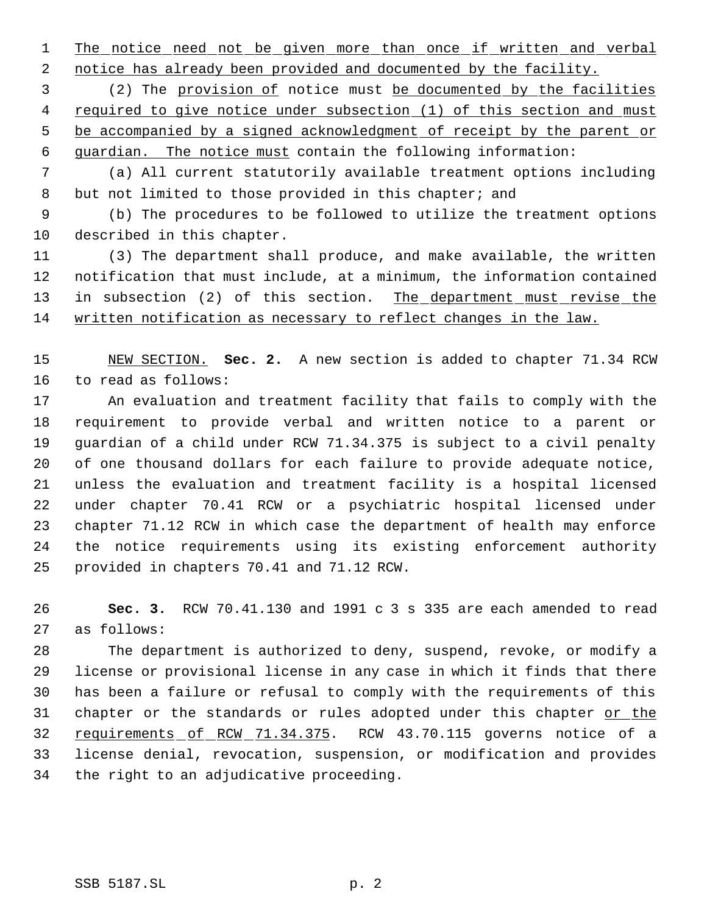1 The notice need not be given more than once if written and verbal

2 notice has already been provided and documented by the facility.

 (2) The provision of notice must be documented by the facilities required to give notice under subsection (1) of this section and must 5 be accompanied by a signed acknowledgment of receipt by the parent or guardian. The notice must contain the following information:

 (a) All current statutorily available treatment options including 8 but not limited to those provided in this chapter; and

 (b) The procedures to be followed to utilize the treatment options described in this chapter.

 (3) The department shall produce, and make available, the written notification that must include, at a minimum, the information contained 13 in subsection (2) of this section. The department must revise the written notification as necessary to reflect changes in the law.

 NEW SECTION. **Sec. 2.** A new section is added to chapter 71.34 RCW to read as follows:

 An evaluation and treatment facility that fails to comply with the requirement to provide verbal and written notice to a parent or guardian of a child under RCW 71.34.375 is subject to a civil penalty of one thousand dollars for each failure to provide adequate notice, unless the evaluation and treatment facility is a hospital licensed under chapter 70.41 RCW or a psychiatric hospital licensed under chapter 71.12 RCW in which case the department of health may enforce the notice requirements using its existing enforcement authority provided in chapters 70.41 and 71.12 RCW.

 **Sec. 3.** RCW 70.41.130 and 1991 c 3 s 335 are each amended to read as follows:

 The department is authorized to deny, suspend, revoke, or modify a license or provisional license in any case in which it finds that there has been a failure or refusal to comply with the requirements of this 31 chapter or the standards or rules adopted under this chapter or the 32 requirements of RCW 71.34.375. RCW 43.70.115 governs notice of a license denial, revocation, suspension, or modification and provides the right to an adjudicative proceeding.